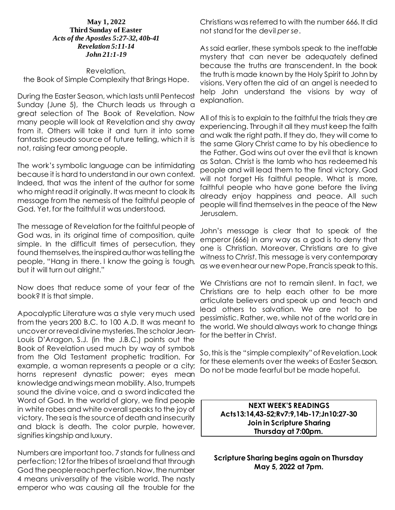### **May 1, 2022 Third Sunday of Easter** *Acts of the Apostles 5:27-32, 40b-41 Revelation 5:11-14 John 21:1-19*

Revelation, the Book of Simple Complexity that Brings Hope.

During the Easter Season, which lasts until Pentecost Sunday (June 5), the Church leads us through a great selection of The Book of Revelation. Now many people will look at Revelation and shy away from it. Others will take it and turn it into some fantastic pseudo source of future telling, which it is not, raising fear among people.

The work's symbolic language can be intimidating because it is hard to understand in our own context. Indeed, that was the intent of the author for some who might read it originally. It was meant to cloak its message from the nemesis of the faithful people of God. Yet, for the faithful it was understood.

The message of Revelation for the faithful people of God was, in its original time of composition, quite simple. In the difficult times of persecution, they found themselves, the inspired author was telling the people, "Hang in there. I know the going is tough, but it will turn out alright."

Now does that reduce some of your fear of the book? It is that simple.

Apocalyptic Literature was a style very much used from the years 200 B.C. to 100 A.D. It was meant to uncover or reveal divine mysteries. The scholar Jean-Louis D'Aragon, S.J. (in the J.B.C.) points out the Book of Revelation used much by way of symbols from the Old Testament prophetic tradition. For example, a woman represents a people or a city; horns represent dynastic power; eyes mean knowledge and wings mean mobility. Also, trumpets sound the divine voice, and a sword indicated the Word of God. In the world of glory, we find people in white robes and white overall speaks to the joy of victory. The sea is the source of death and insecurity and black is death. The color purple, however, signifies kingship and luxury.

Numbers are important too. 7 stands for fullness and perfection; 12 for the tribes of Israel and that through God the people reach perfection. Now, the number 4 means universality of the visible world. The nasty emperor who was causing all the trouble for the

Christians was referred to with the number 666. It did not stand for the devil *per se*.

As said earlier, these symbols speak to the ineffable mystery that can never be adequately defined because the truths are transcendent. In the book the truth is made known by the Holy Spirit to John by visions. Very often the aid of an angel is needed to help John understand the visions by way of explanation.

All of this is to explain to the faithful the trials they are experiencing. Through it all they must keep the faith and walk the right path. If they do, they will come to the same Glory Christ came to by his obedience to the Father. God wins out over the evil that is known as Satan. Christ is the lamb who has redeemed his people and will lead them to the final victory. God will not forget His faithful people. What is more, faithful people who have gone before the living already enjoy happiness and peace. All such people will find themselves in the peace of the New Jerusalem.

John's message is clear that to speak of the emperor (666) in any way as a god is to deny that one is Christian. Moreover, Christians are to give witness to *Christ*. This message is very contemporary as we even hear our new Pope, Francis speak to this.

We Christians are not to remain silent. In fact, we Christians are to help each other to be more articulate believers and speak up and teach and lead others to salvation. We are not to be pessimistic. Rather, we, while not of the world are in the world. We should always work to change things for the better in Christ.

So, this is the "simple complexity" of Revelation. Look for these elements over the weeks of Easter Season. Do not be made fearful but be made hopeful.

> **NEXT WEEK'S READINGS Acts13:14,43-52;Rv7:9,14b-17;Jn10:27-30 Join in Scripture Sharing Thursday at 7:00pm.**

**Scripture Sharing begins again on Thursday May 5, 2022 at 7pm.**